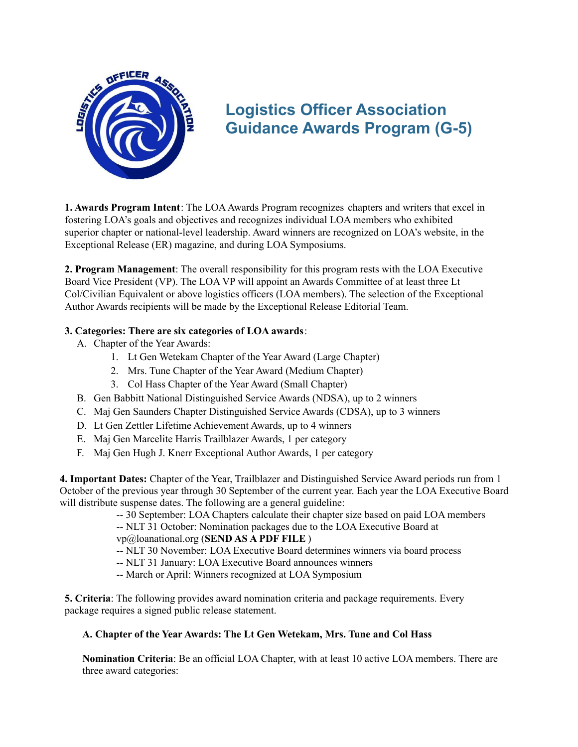

# **Logistics Officer Association Guidance Awards Program (G-5)**

**1. Awards Program Intent**: The LOAAwards Program recognizes chapters and writers that excel in fostering LOA's goals and objectives and recognizes individual LOA members who exhibited superior chapter or national-level leadership. Award winners are recognized on LOA's website, in the Exceptional Release (ER) magazine, and during LOA Symposiums.

**2. Program Management**: The overall responsibility for this program rests with the LOA Executive Board Vice President (VP). The LOA VP will appoint an Awards Committee of at least three Lt Col/Civilian Equivalent or above logistics officers (LOA members). The selection of the Exceptional Author Awards recipients will be made by the Exceptional Release Editorial Team.

# **3. Categories: There are six categories of LOA awards**:

- A. Chapter of the Year Awards:
	- 1. Lt Gen Wetekam Chapter of the Year Award (Large Chapter)
	- 2. Mrs. Tune Chapter of the Year Award (Medium Chapter)
	- 3. Col Hass Chapter of the Year Award (Small Chapter)
- B. Gen Babbitt National Distinguished Service Awards (NDSA), up to 2 winners
- C. Maj Gen Saunders Chapter Distinguished Service Awards (CDSA), up to 3 winners
- D. Lt Gen Zettler Lifetime Achievement Awards, up to 4 winners
- E. Maj Gen Marcelite Harris Trailblazer Awards, 1 per category
- F. Maj Gen Hugh J. Knerr Exceptional Author Awards, 1 per category

**4. Important Dates:** Chapter of the Year, Trailblazer and Distinguished Service Award periods run from 1 October of the previous year through 30 September of the current year. Each year the LOA Executive Board will distribute suspense dates. The following are a general guideline:

-- 30 September: LOA Chapters calculate their chapter size based on paid LOA members

-- NLT 31 October: Nomination packages due to the LOA Executive Board at vp@loanational.org (**SEND AS A PDF FILE** )

-- NLT 30 November: LOA Executive Board determines winners via board process

-- NLT 31 January: LOA Executive Board announces winners

-- March or April: Winners recognized at LOA Symposium

**5. Criteria**: The following provides award nomination criteria and package requirements. Every package requires a signed public release statement.

## **A. Chapter of the Year Awards: The Lt Gen Wetekam, Mrs. Tune and Col Hass**

**Nomination Criteria**: Be an official LOA Chapter, with at least 10 active LOA members. There are three award categories: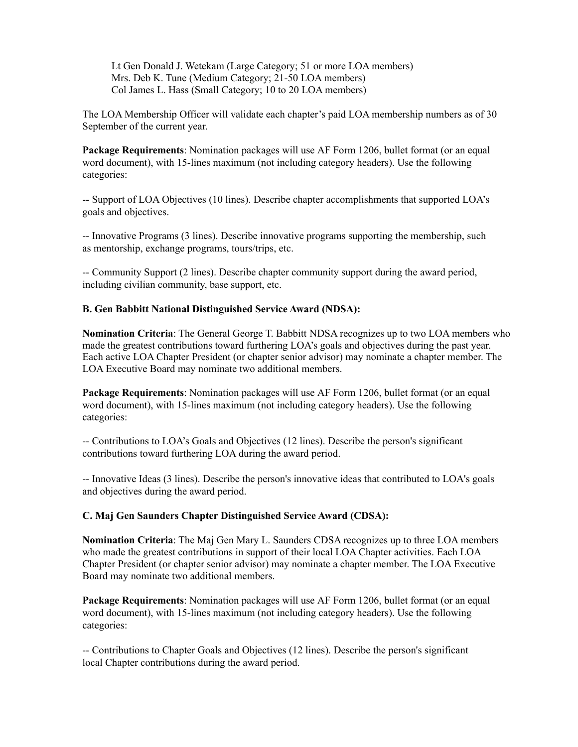Lt Gen Donald J. Wetekam (Large Category; 51 or more LOA members) Mrs. Deb K. Tune (Medium Category; 21-50 LOA members) Col James L. Hass (Small Category; 10 to 20 LOA members)

The LOA Membership Officer will validate each chapter's paid LOA membership numbers as of 30 September of the current year.

**Package Requirements**: Nomination packages will use AF Form 1206, bullet format (or an equal word document), with 15-lines maximum (not including category headers). Use the following categories:

-- Support of LOA Objectives (10 lines). Describe chapter accomplishments that supported LOA's goals and objectives.

-- Innovative Programs (3 lines). Describe innovative programs supporting the membership, such as mentorship, exchange programs, tours/trips, etc.

-- Community Support (2 lines). Describe chapter community support during the award period, including civilian community, base support, etc.

## **B. Gen Babbitt National Distinguished Service Award (NDSA):**

**Nomination Criteria**: The General George T. Babbitt NDSA recognizes up to two LOA members who made the greatest contributions toward furthering LOA's goals and objectives during the past year. Each active LOA Chapter President (or chapter senior advisor) may nominate a chapter member. The LOA Executive Board may nominate two additional members.

**Package Requirements**: Nomination packages will use AF Form 1206, bullet format (or an equal word document), with 15-lines maximum (not including category headers). Use the following categories:

-- Contributions to LOA's Goals and Objectives (12 lines). Describe the person's significant contributions toward furthering LOA during the award period.

-- Innovative Ideas (3 lines). Describe the person's innovative ideas that contributed to LOA's goals and objectives during the award period.

#### **C. Maj Gen Saunders Chapter Distinguished Service Award (CDSA):**

**Nomination Criteria**: The Maj Gen Mary L. Saunders CDSA recognizes up to three LOA members who made the greatest contributions in support of their local LOA Chapter activities. Each LOA Chapter President (or chapter senior advisor) may nominate a chapter member. The LOA Executive Board may nominate two additional members.

**Package Requirements**: Nomination packages will use AF Form 1206, bullet format (or an equal word document), with 15-lines maximum (not including category headers). Use the following categories:

-- Contributions to Chapter Goals and Objectives (12 lines). Describe the person's significant local Chapter contributions during the award period.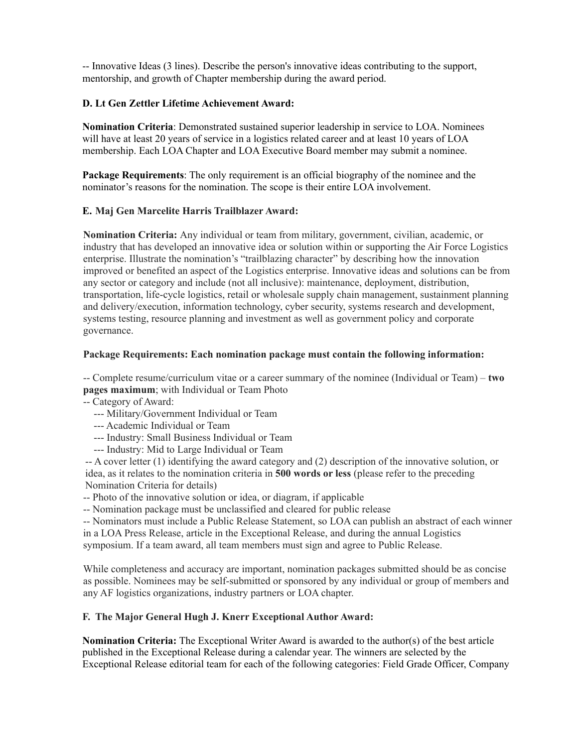-- Innovative Ideas (3 lines). Describe the person's innovative ideas contributing to the support, mentorship, and growth of Chapter membership during the award period.

## **D. Lt Gen Zettler Lifetime Achievement Award:**

**Nomination Criteria**: Demonstrated sustained superior leadership in service to LOA. Nominees will have at least 20 years of service in a logistics related career and at least 10 years of LOA membership. Each LOA Chapter and LOA Executive Board member may submit a nominee.

**Package Requirements**: The only requirement is an official biography of the nominee and the nominator's reasons for the nomination. The scope is their entire LOA involvement.

#### **E. Maj Gen Marcelite Harris Trailblazer Award:**

**Nomination Criteria:** Any individual or team from military, government, civilian, academic, or industry that has developed an innovative idea or solution within or supporting the Air Force Logistics enterprise. Illustrate the nomination's "trailblazing character" by describing how the innovation improved or benefited an aspect of the Logistics enterprise. Innovative ideas and solutions can be from any sector or category and include (not all inclusive): maintenance, deployment, distribution, transportation, life-cycle logistics, retail or wholesale supply chain management, sustainment planning and delivery/execution, information technology, cyber security, systems research and development, systems testing, resource planning and investment as well as government policy and corporate governance.

#### **Package Requirements: Each nomination package must contain the following information:**

-- Complete resume/curriculum vitae or a career summary of the nominee (Individual or Team) – **two pages maximum**; with Individual or Team Photo

-- Category of Award:

- --- Military/Government Individual or Team
- --- Academic Individual or Team
- --- Industry: Small Business Individual or Team
- --- Industry: Mid to Large Individual or Team

-- A cover letter (1) identifying the award category and (2) description of the innovative solution, or idea, as it relates to the nomination criteria in **500 words or less** (please refer to the preceding Nomination Criteria for details)

-- Photo of the innovative solution or idea, or diagram, if applicable

-- Nomination package must be unclassified and cleared for public release

-- Nominators must include a Public Release Statement, so LOA can publish an abstract of each winner in a LOA Press Release, article in the Exceptional Release, and during the annual Logistics symposium. If a team award, all team members must sign and agree to Public Release.

While completeness and accuracy are important, nomination packages submitted should be as concise as possible. Nominees may be self-submitted or sponsored by any individual or group of members and any AF logistics organizations, industry partners or LOA chapter.

### **F. The Major General Hugh J. Knerr Exceptional Author Award:**

**Nomination Criteria:** The Exceptional Writer Award is awarded to the author(s) of the best article published in the Exceptional Release during a calendar year. The winners are selected by the Exceptional Release editorial team for each of the following categories: Field Grade Officer, Company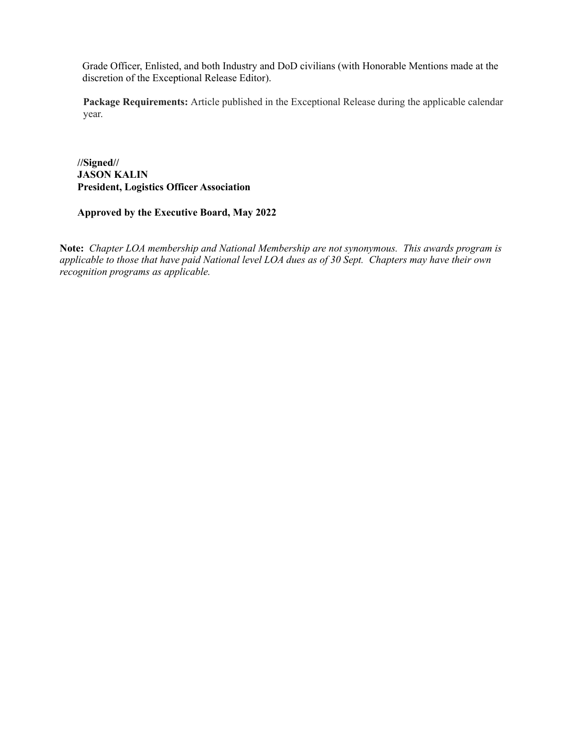Grade Officer, Enlisted, and both Industry and DoD civilians (with Honorable Mentions made at the discretion of the Exceptional Release Editor).

**Package Requirements:** Article published in the Exceptional Release during the applicable calendar year.

**//Signed// JASON KALIN President, Logistics Officer Association**

**Approved by the Executive Board, May 2022**

**Note:** *Chapter LOA membership and National Membership are not synonymous. This awards program is* applicable to those that have paid National level LOA dues as of 30 Sept. Chapters may have their own *recognition programs as applicable.*